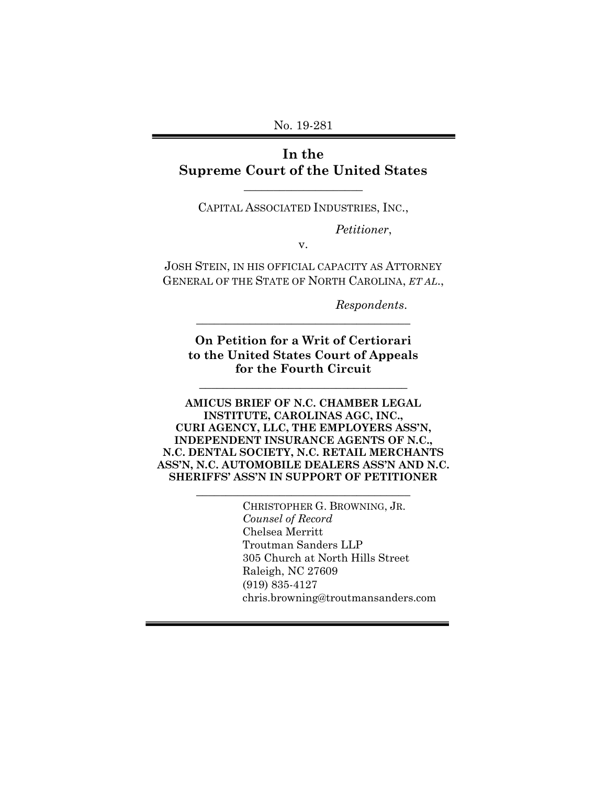No. 19-281

## **In the Supreme Court of the United States**

CAPITAL ASSOCIATED INDUSTRIES, INC.,

\_\_\_\_\_\_\_\_\_\_\_\_\_\_\_\_\_\_\_\_

*Petitioner*,

v.

JOSH STEIN, IN HIS OFFICIAL CAPACITY AS ATTORNEY GENERAL OF THE STATE OF NORTH CAROLINA, *ET AL*.,

*Respondents*.

**On Petition for a Writ of Certiorari to the United States Court of Appeals for the Fourth Circuit**

\_\_\_\_\_\_\_\_\_\_\_\_\_\_\_\_\_\_\_\_\_\_\_\_\_\_\_\_\_\_\_\_\_\_\_

**\_\_\_\_\_\_\_\_\_\_\_\_\_\_\_\_\_\_\_\_\_\_\_\_\_\_\_\_\_\_\_\_\_\_\_\_** 

**AMICUS BRIEF OF N.C. CHAMBER LEGAL INSTITUTE, CAROLINAS AGC, INC., CURI AGENCY, LLC, THE EMPLOYERS ASS'N, INDEPENDENT INSURANCE AGENTS OF N.C., N.C. DENTAL SOCIETY, N.C. RETAIL MERCHANTS ASS'N, N.C. AUTOMOBILE DEALERS ASS'N AND N.C. SHERIFFS' ASS'N IN SUPPORT OF PETITIONER**

**\_\_\_\_\_\_\_\_\_\_\_\_\_\_\_\_\_\_\_\_\_\_\_\_\_\_\_\_\_\_\_\_\_\_\_\_** 

CHRISTOPHER G. BROWNING, JR. *Counsel of Record* Chelsea Merritt Troutman Sanders LLP 305 Church at North Hills Street Raleigh, NC 27609 (919) 835-4127 chris.browning@troutmansanders.com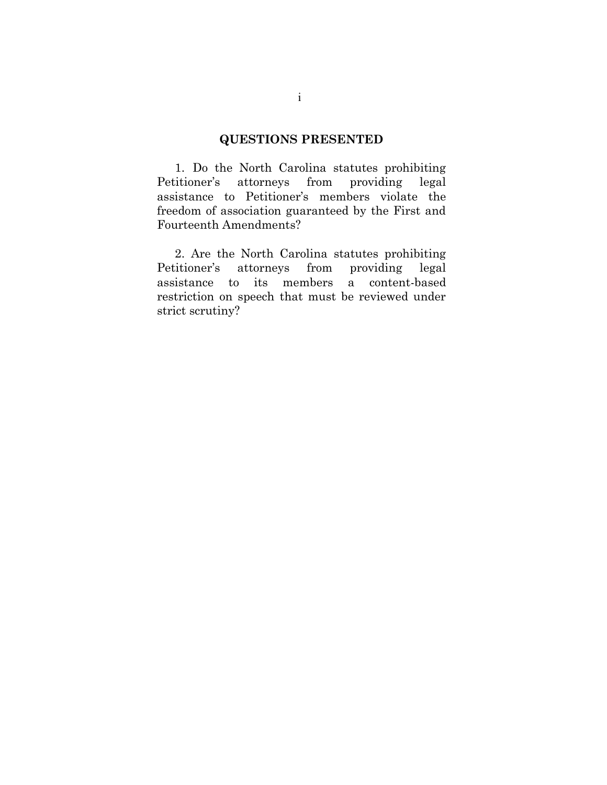## **QUESTIONS PRESENTED**

1. Do the North Carolina statutes prohibiting Petitioner's attorneys from providing legal assistance to Petitioner's members violate the freedom of association guaranteed by the First and Fourteenth Amendments?

2. Are the North Carolina statutes prohibiting Petitioner's attorneys from providing legal assistance to its members a content-based restriction on speech that must be reviewed under strict scrutiny?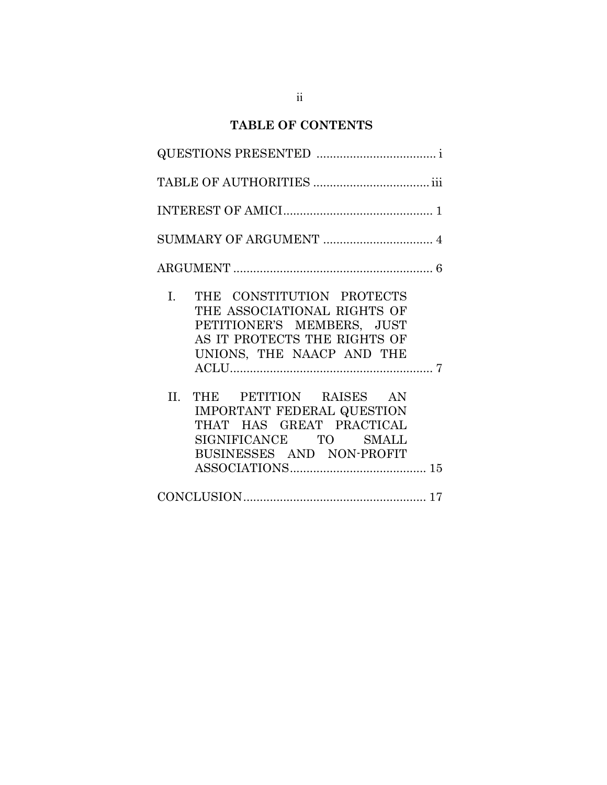# **TABLE OF CONTENTS**

| THE CONSTITUTION PROTECTS<br>$\mathbf{I}$ .<br>THE ASSOCIATIONAL RIGHTS OF<br>PETITIONER'S MEMBERS, JUST<br>AS IT PROTECTS THE RIGHTS OF<br>UNIONS, THE NAACP AND THE |
|-----------------------------------------------------------------------------------------------------------------------------------------------------------------------|
| II. THE PETITION RAISES AN<br>IMPORTANT FEDERAL QUESTION<br>THAT HAS GREAT PRACTICAL<br>SIGNIFICANCE TO SMALL<br>BUSINESSES AND NON-PROFIT                            |
| $\textbf{CONCLUSION}.\textcolor{red}{\textbf{17}}$                                                                                                                    |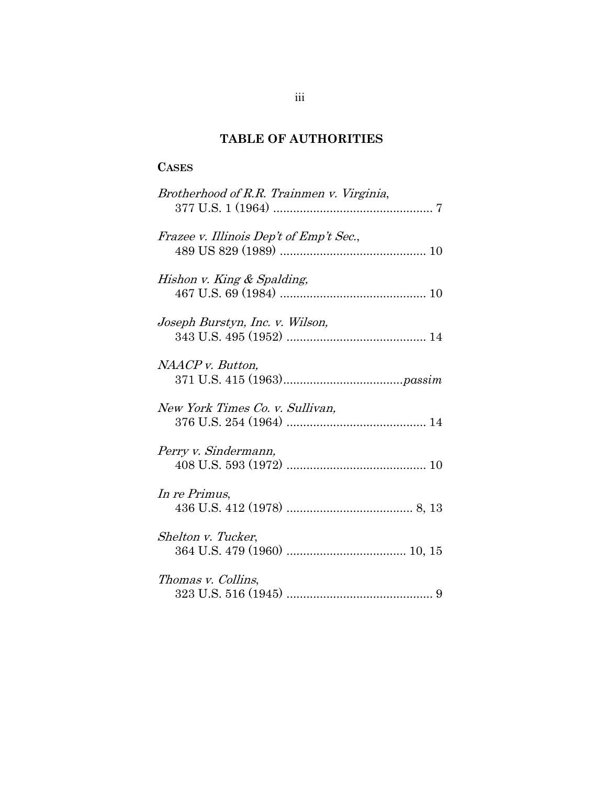## **TABLE OF AUTHORITIES**

### **CASES**

| Brotherhood of R.R. Trainmen v. Virginia, |
|-------------------------------------------|
| Frazee v. Illinois Dep't of Emp't Sec.,   |
| Hishon v. King & Spalding,                |
| Joseph Burstyn, Inc. v. Wilson,           |
| NAACP v. Button,                          |
| New York Times Co. v. Sullivan,           |
| Perry v. Sindermann,                      |
| In re Primus,                             |
| Shelton v. Tucker,                        |
| Thomas v. Collins,                        |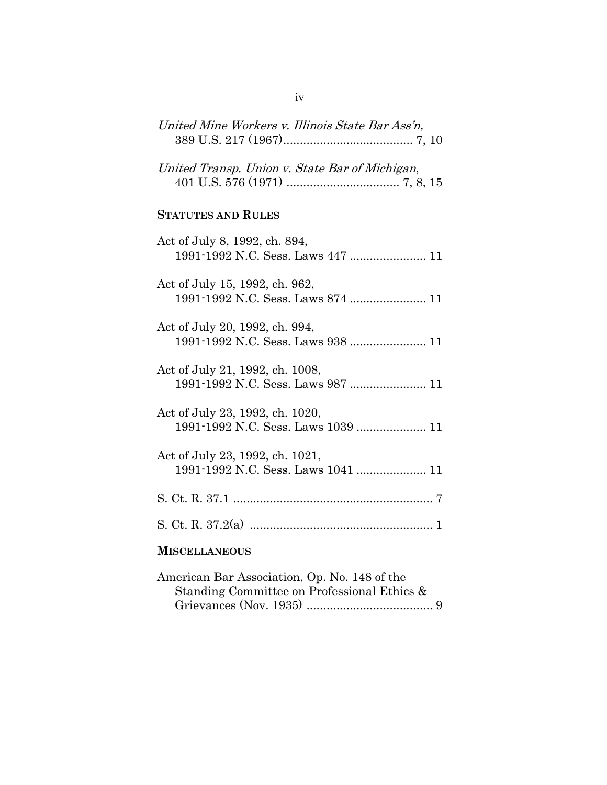| United Mine Workers v. Illinois State Bar Ass'n,                      |
|-----------------------------------------------------------------------|
| United Transp. Union v. State Bar of Michigan,                        |
| <b>STATUTES AND RULES</b>                                             |
| Act of July 8, 1992, ch. 894,<br>1991-1992 N.C. Sess. Laws 447  11    |
| Act of July 15, 1992, ch. 962,                                        |
| Act of July 20, 1992, ch. 994,                                        |
| Act of July 21, 1992, ch. 1008,<br>1991-1992 N.C. Sess. Laws 987  11  |
| Act of July 23, 1992, ch. 1020,<br>1991-1992 N.C. Sess. Laws 1039  11 |
| Act of July 23, 1992, ch. 1021,<br>1991-1992 N.C. Sess. Laws 1041  11 |
|                                                                       |
|                                                                       |
| <b>MISCELLANEOUS</b>                                                  |

| American Bar Association, Op. No. 148 of the |  |
|----------------------------------------------|--|
| Standing Committee on Professional Ethics &  |  |
|                                              |  |

iv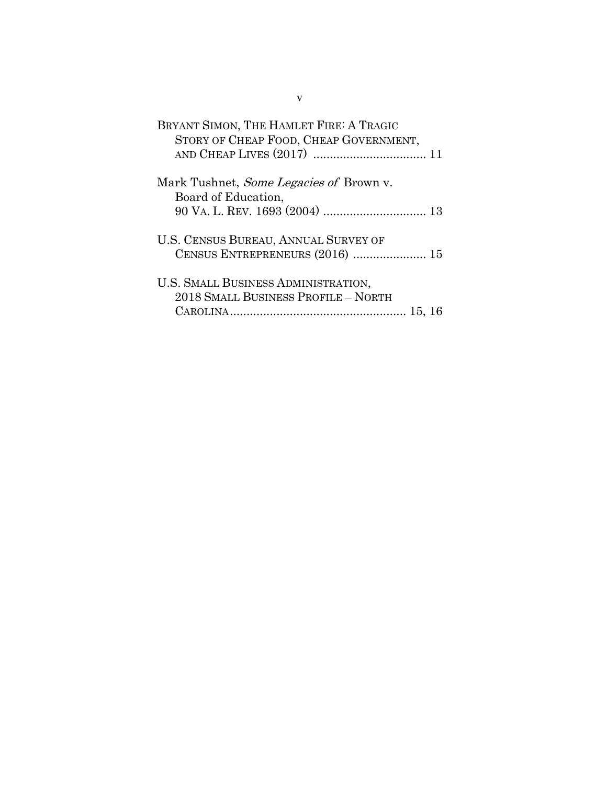| BRYANT SIMON, THE HAMLET FIRE: A TRAGIC<br>STORY OF CHEAP FOOD, CHEAP GOVERNMENT, |  |
|-----------------------------------------------------------------------------------|--|
| Mark Tushnet, <i>Some Legacies of</i> Brown v.<br>Board of Education,             |  |
| U.S. CENSUS BUREAU, ANNUAL SURVEY OF<br>CENSUS ENTREPRENEURS (2016)  15           |  |
| U.S. SMALL BUSINESS ADMINISTRATION,<br>2018 SMALL BUSINESS PROFILE - NORTH        |  |

v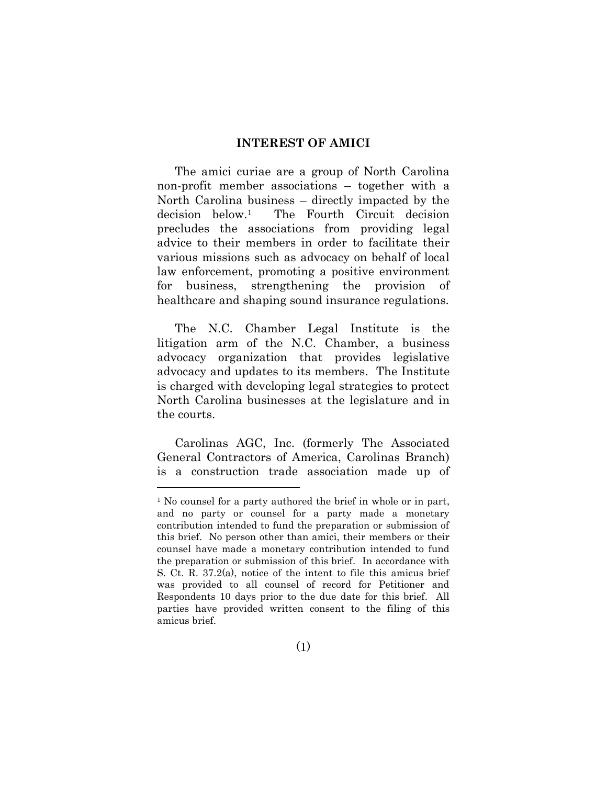#### **INTEREST OF AMICI**

The amici curiae are a group of North Carolina non-profit member associations – together with a North Carolina business – directly impacted by the decision below.1 The Fourth Circuit decision precludes the associations from providing legal advice to their members in order to facilitate their various missions such as advocacy on behalf of local law enforcement, promoting a positive environment for business, strengthening the provision of healthcare and shaping sound insurance regulations.

The N.C. Chamber Legal Institute is the litigation arm of the N.C. Chamber, a business advocacy organization that provides legislative advocacy and updates to its members. The Institute is charged with developing legal strategies to protect North Carolina businesses at the legislature and in the courts.

Carolinas AGC, Inc. (formerly The Associated General Contractors of America, Carolinas Branch) is a construction trade association made up of

<sup>&</sup>lt;sup>1</sup> No counsel for a party authored the brief in whole or in part, and no party or counsel for a party made a monetary contribution intended to fund the preparation or submission of this brief. No person other than amici, their members or their counsel have made a monetary contribution intended to fund the preparation or submission of this brief. In accordance with S. Ct. R. 37.2(a), notice of the intent to file this amicus brief was provided to all counsel of record for Petitioner and Respondents 10 days prior to the due date for this brief. All parties have provided written consent to the filing of this amicus brief.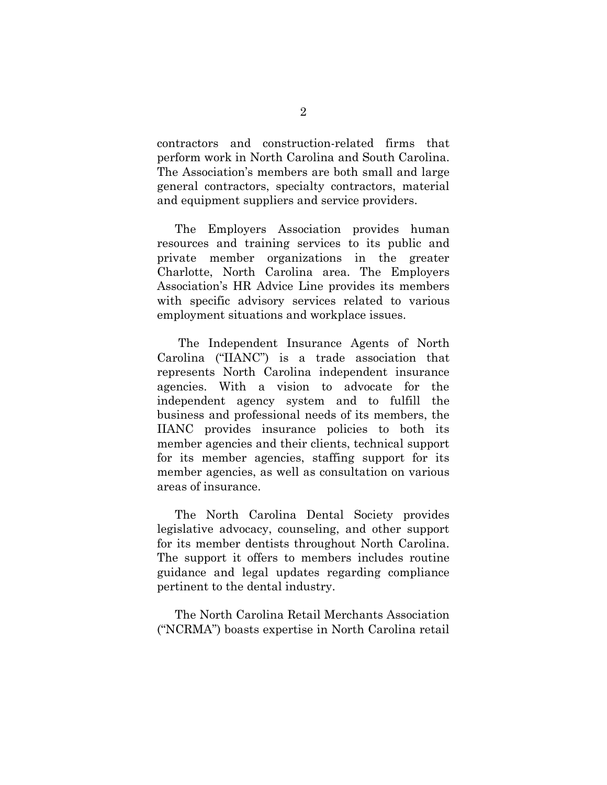contractors and construction-related firms that perform work in North Carolina and South Carolina. The Association's members are both small and large general contractors, specialty contractors, material and equipment suppliers and service providers.

The Employers Association provides human resources and training services to its public and private member organizations in the greater Charlotte, North Carolina area. The Employers Association's HR Advice Line provides its members with specific advisory services related to various employment situations and workplace issues.

The Independent Insurance Agents of North Carolina ("IIANC") is a trade association that represents North Carolina independent insurance agencies. With a vision to advocate for the independent agency system and to fulfill the business and professional needs of its members, the IIANC provides insurance policies to both its member agencies and their clients, technical support for its member agencies, staffing support for its member agencies, as well as consultation on various areas of insurance.

The North Carolina Dental Society provides legislative advocacy, counseling, and other support for its member dentists throughout North Carolina. The support it offers to members includes routine guidance and legal updates regarding compliance pertinent to the dental industry.

The North Carolina Retail Merchants Association ("NCRMA") boasts expertise in North Carolina retail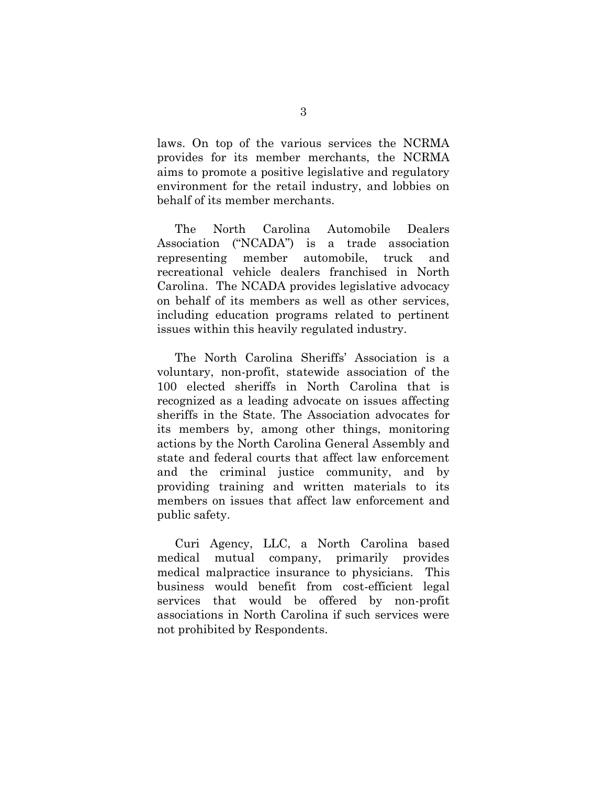laws. On top of the various services the NCRMA provides for its member merchants, the NCRMA aims to promote a positive legislative and regulatory environment for the retail industry, and lobbies on behalf of its member merchants.

The North Carolina Automobile Dealers Association ("NCADA") is a trade association representing member automobile, truck and recreational vehicle dealers franchised in North Carolina. The NCADA provides legislative advocacy on behalf of its members as well as other services, including education programs related to pertinent issues within this heavily regulated industry.

The North Carolina Sheriffs' Association is a voluntary, non-profit, statewide association of the 100 elected sheriffs in North Carolina that is recognized as a leading advocate on issues affecting sheriffs in the State. The Association advocates for its members by, among other things, monitoring actions by the North Carolina General Assembly and state and federal courts that affect law enforcement and the criminal justice community, and by providing training and written materials to its members on issues that affect law enforcement and public safety.

Curi Agency, LLC, a North Carolina based medical mutual company, primarily provides medical malpractice insurance to physicians. This business would benefit from cost-efficient legal services that would be offered by non-profit associations in North Carolina if such services were not prohibited by Respondents.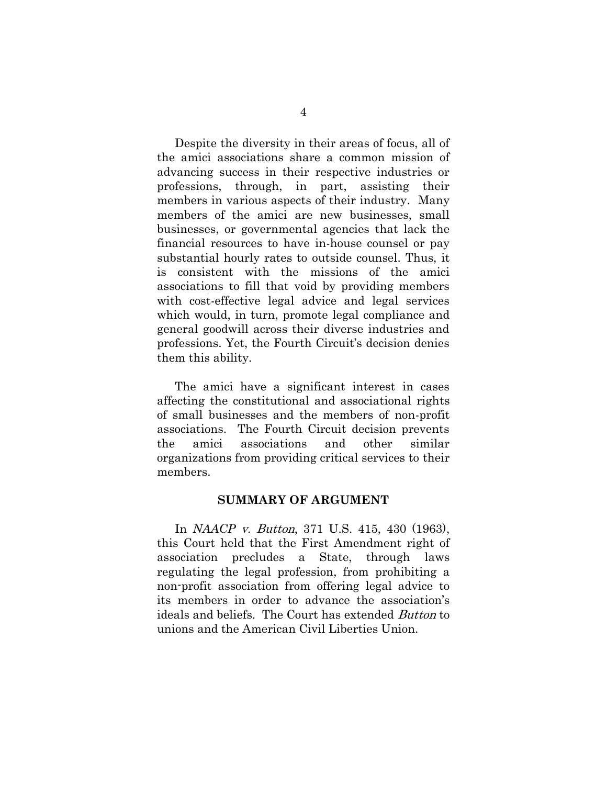Despite the diversity in their areas of focus, all of the amici associations share a common mission of advancing success in their respective industries or professions, through, in part, assisting their members in various aspects of their industry. Many members of the amici are new businesses, small businesses, or governmental agencies that lack the financial resources to have in-house counsel or pay substantial hourly rates to outside counsel. Thus, it is consistent with the missions of the amici associations to fill that void by providing members with cost-effective legal advice and legal services which would, in turn, promote legal compliance and general goodwill across their diverse industries and professions. Yet, the Fourth Circuit's decision denies them this ability.

The amici have a significant interest in cases affecting the constitutional and associational rights of small businesses and the members of non-profit associations. The Fourth Circuit decision prevents the amici associations and other similar organizations from providing critical services to their members.

#### **SUMMARY OF ARGUMENT**

In *NAACP* v. Button, 371 U.S. 415, 430 (1963), this Court held that the First Amendment right of association precludes a State, through laws regulating the legal profession, from prohibiting a non-profit association from offering legal advice to its members in order to advance the association's ideals and beliefs. The Court has extended Button to unions and the American Civil Liberties Union.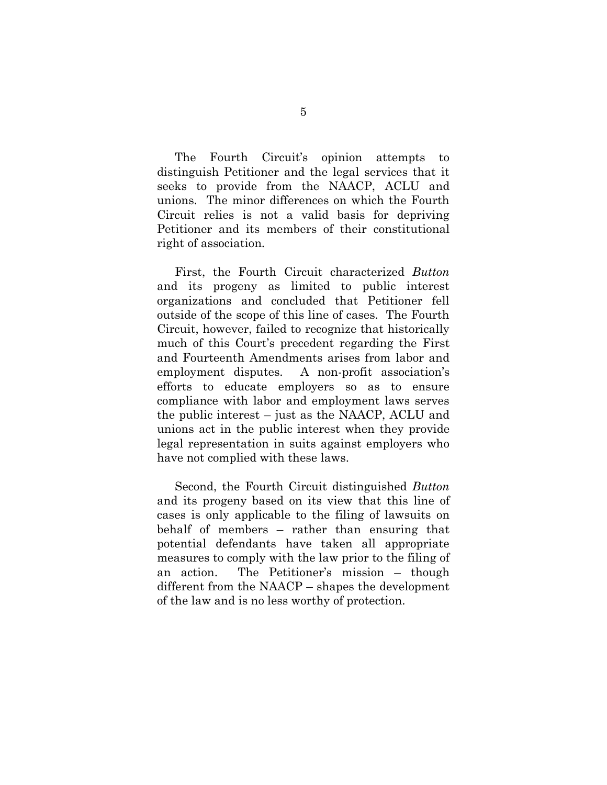The Fourth Circuit's opinion attempts to distinguish Petitioner and the legal services that it seeks to provide from the NAACP, ACLU and unions. The minor differences on which the Fourth Circuit relies is not a valid basis for depriving Petitioner and its members of their constitutional right of association.

First, the Fourth Circuit characterized *Button*  and its progeny as limited to public interest organizations and concluded that Petitioner fell outside of the scope of this line of cases. The Fourth Circuit, however, failed to recognize that historically much of this Court's precedent regarding the First and Fourteenth Amendments arises from labor and employment disputes. A non-profit association's efforts to educate employers so as to ensure compliance with labor and employment laws serves the public interest – just as the NAACP, ACLU and unions act in the public interest when they provide legal representation in suits against employers who have not complied with these laws.

Second, the Fourth Circuit distinguished *Button*  and its progeny based on its view that this line of cases is only applicable to the filing of lawsuits on behalf of members – rather than ensuring that potential defendants have taken all appropriate measures to comply with the law prior to the filing of an action. The Petitioner's mission – though different from the NAACP – shapes the development of the law and is no less worthy of protection.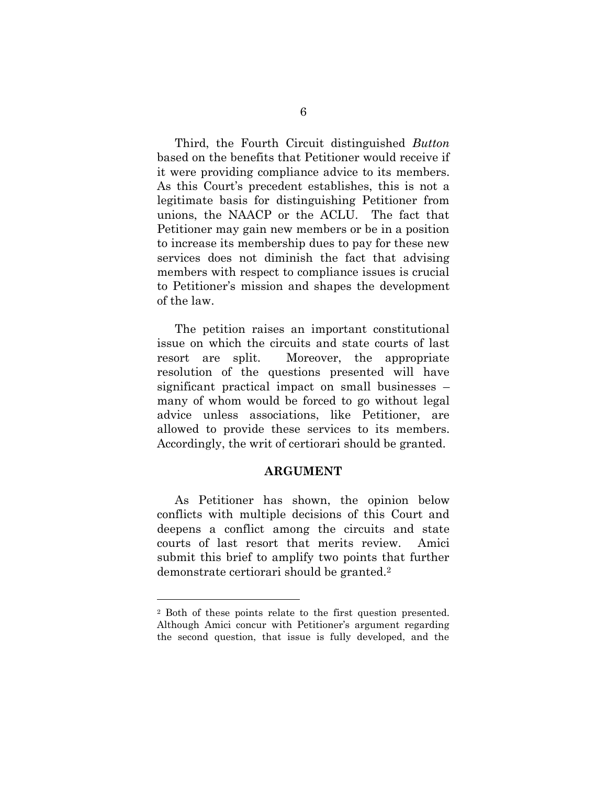Third, the Fourth Circuit distinguished *Button* based on the benefits that Petitioner would receive if it were providing compliance advice to its members. As this Court's precedent establishes, this is not a legitimate basis for distinguishing Petitioner from unions, the NAACP or the ACLU. The fact that Petitioner may gain new members or be in a position to increase its membership dues to pay for these new services does not diminish the fact that advising members with respect to compliance issues is crucial to Petitioner's mission and shapes the development of the law.

The petition raises an important constitutional issue on which the circuits and state courts of last resort are split. Moreover, the appropriate resolution of the questions presented will have significant practical impact on small businesses – many of whom would be forced to go without legal advice unless associations, like Petitioner, are allowed to provide these services to its members. Accordingly, the writ of certiorari should be granted.

#### **ARGUMENT**

As Petitioner has shown, the opinion below conflicts with multiple decisions of this Court and deepens a conflict among the circuits and state courts of last resort that merits review. Amici submit this brief to amplify two points that further demonstrate certiorari should be granted.<sup>2</sup>

<sup>2</sup> Both of these points relate to the first question presented. Although Amici concur with Petitioner's argument regarding the second question, that issue is fully developed, and the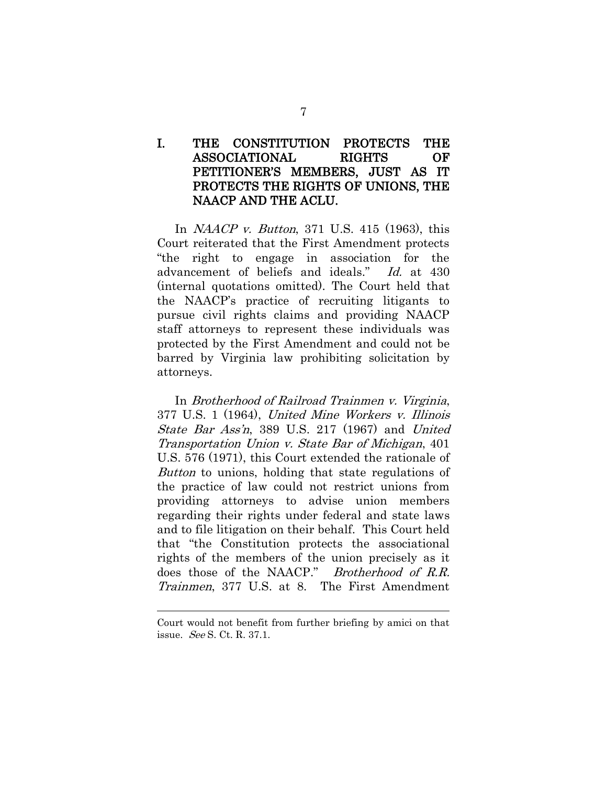### I. THE CONSTITUTION PROTECTS THE ASSOCIATIONAL RIGHTS OF PETITIONER'S MEMBERS, JUST AS IT PROTECTS THE RIGHTS OF UNIONS, THE NAACP AND THE ACLU.

In NAACP v. Button, 371 U.S. 415 (1963), this Court reiterated that the First Amendment protects "the right to engage in association for the advancement of beliefs and ideals." Id. at 430 (internal quotations omitted). The Court held that the NAACP's practice of recruiting litigants to pursue civil rights claims and providing NAACP staff attorneys to represent these individuals was protected by the First Amendment and could not be barred by Virginia law prohibiting solicitation by attorneys.

In Brotherhood of Railroad Trainmen v. Virginia, 377 U.S. 1 (1964), United Mine Workers v. Illinois State Bar Ass'n, 389 U.S. 217 (1967) and United Transportation Union v. State Bar of Michigan, 401 U.S. 576 (1971), this Court extended the rationale of Button to unions, holding that state regulations of the practice of law could not restrict unions from providing attorneys to advise union members regarding their rights under federal and state laws and to file litigation on their behalf. This Court held that "the Constitution protects the associational rights of the members of the union precisely as it does those of the NAACP." Brotherhood of R.R. Trainmen, 377 U.S. at 8. The First Amendment

Court would not benefit from further briefing by amici on that issue. See S. Ct. R. 37.1.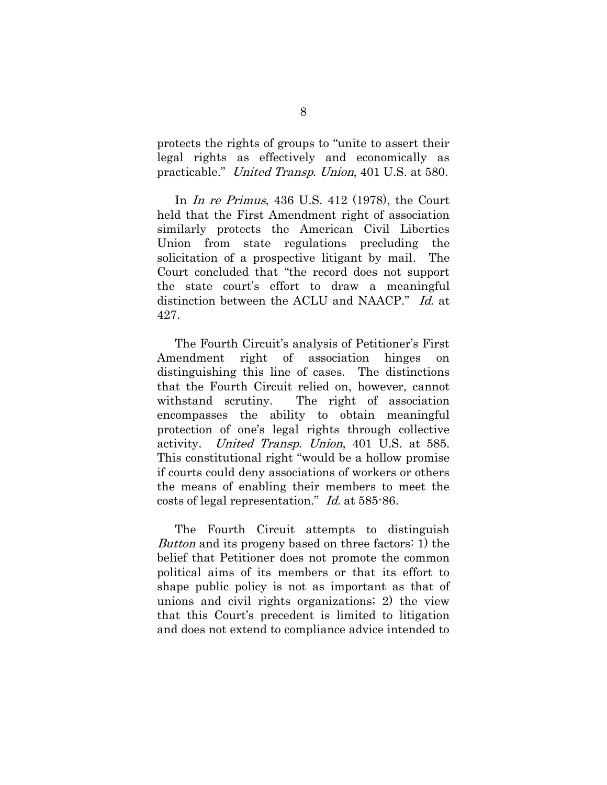protects the rights of groups to "unite to assert their legal rights as effectively and economically as practicable." United Transp. Union, 401 U.S. at 580.

In In re Primus, 436 U.S. 412 (1978), the Court held that the First Amendment right of association similarly protects the American Civil Liberties Union from state regulations precluding the solicitation of a prospective litigant by mail. The Court concluded that "the record does not support the state court's effort to draw a meaningful distinction between the ACLU and NAACP." Id. at 427.

The Fourth Circuit's analysis of Petitioner's First Amendment right of association hinges distinguishing this line of cases. The distinctions that the Fourth Circuit relied on, however, cannot withstand scrutiny. The right of association encompasses the ability to obtain meaningful protection of one's legal rights through collective activity. United Transp. Union, 401 U.S. at 585. This constitutional right "would be a hollow promise if courts could deny associations of workers or others the means of enabling their members to meet the costs of legal representation." Id. at 585-86.

The Fourth Circuit attempts to distinguish Button and its progeny based on three factors: 1) the belief that Petitioner does not promote the common political aims of its members or that its effort to shape public policy is not as important as that of unions and civil rights organizations; 2) the view that this Court's precedent is limited to litigation and does not extend to compliance advice intended to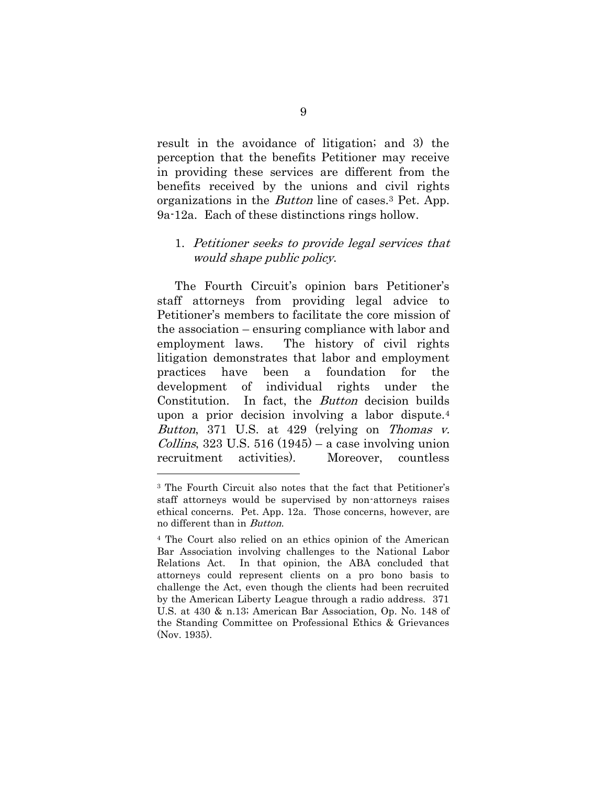result in the avoidance of litigation; and 3) the perception that the benefits Petitioner may receive in providing these services are different from the benefits received by the unions and civil rights organizations in the Button line of cases.<sup>3</sup> Pet. App. 9a-12a. Each of these distinctions rings hollow.

#### 1. Petitioner seeks to provide legal services that would shape public policy.

The Fourth Circuit's opinion bars Petitioner's staff attorneys from providing legal advice to Petitioner's members to facilitate the core mission of the association – ensuring compliance with labor and employment laws. The history of civil rights litigation demonstrates that labor and employment practices have been a foundation for the development of individual rights under the Constitution. In fact, the Button decision builds upon a prior decision involving a labor dispute.<sup>4</sup> Button, 371 U.S. at 429 (relying on Thomas v.  $Collins$ , 323 U.S. 516 (1945) – a case involving union recruitment activities). Moreover, countless

<sup>3</sup> The Fourth Circuit also notes that the fact that Petitioner's staff attorneys would be supervised by non-attorneys raises ethical concerns. Pet. App. 12a. Those concerns, however, are no different than in Button.

<sup>4</sup> The Court also relied on an ethics opinion of the American Bar Association involving challenges to the National Labor Relations Act. In that opinion, the ABA concluded that attorneys could represent clients on a pro bono basis to challenge the Act, even though the clients had been recruited by the American Liberty League through a radio address. 371 U.S. at 430 & n.13; American Bar Association, Op. No. 148 of the Standing Committee on Professional Ethics & Grievances (Nov. 1935).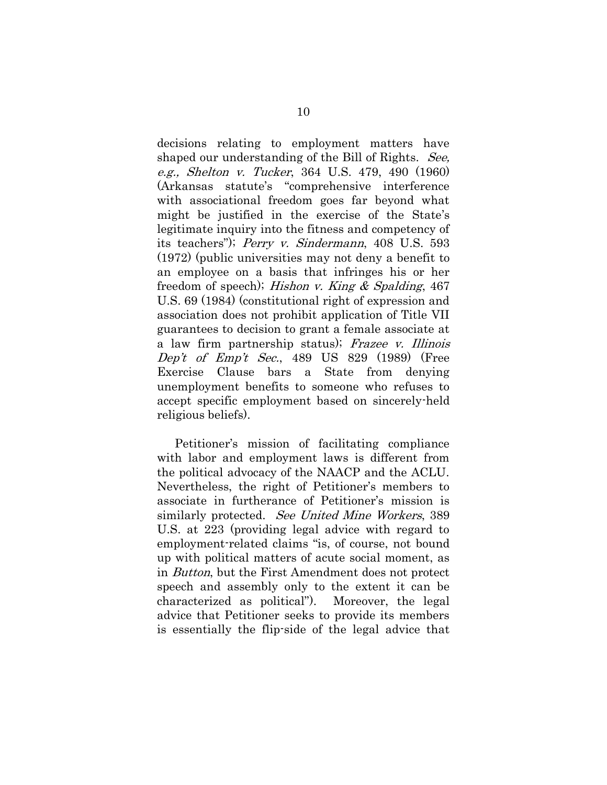decisions relating to employment matters have shaped our understanding of the Bill of Rights. See, e.g., Shelton v. Tucker, 364 U.S. 479, 490 (1960) (Arkansas statute's "comprehensive interference with associational freedom goes far beyond what might be justified in the exercise of the State's legitimate inquiry into the fitness and competency of its teachers"); Perry v. Sindermann, 408 U.S. 593 (1972) (public universities may not deny a benefit to an employee on a basis that infringes his or her freedom of speech); Hishon v. King  $\&$  Spalding, 467 U.S. 69 (1984) (constitutional right of expression and association does not prohibit application of Title VII guarantees to decision to grant a female associate at a law firm partnership status); Frazee v. Illinois Dep't of Emp't Sec., 489 US 829  $(1989)$  (Free Exercise Clause bars a State from denying unemployment benefits to someone who refuses to accept specific employment based on sincerely-held religious beliefs).

Petitioner's mission of facilitating compliance with labor and employment laws is different from the political advocacy of the NAACP and the ACLU. Nevertheless, the right of Petitioner's members to associate in furtherance of Petitioner's mission is similarly protected. See United Mine Workers, 389 U.S. at 223 (providing legal advice with regard to employment-related claims "is, of course, not bound up with political matters of acute social moment, as in Button, but the First Amendment does not protect speech and assembly only to the extent it can be characterized as political"). Moreover, the legal advice that Petitioner seeks to provide its members is essentially the flip-side of the legal advice that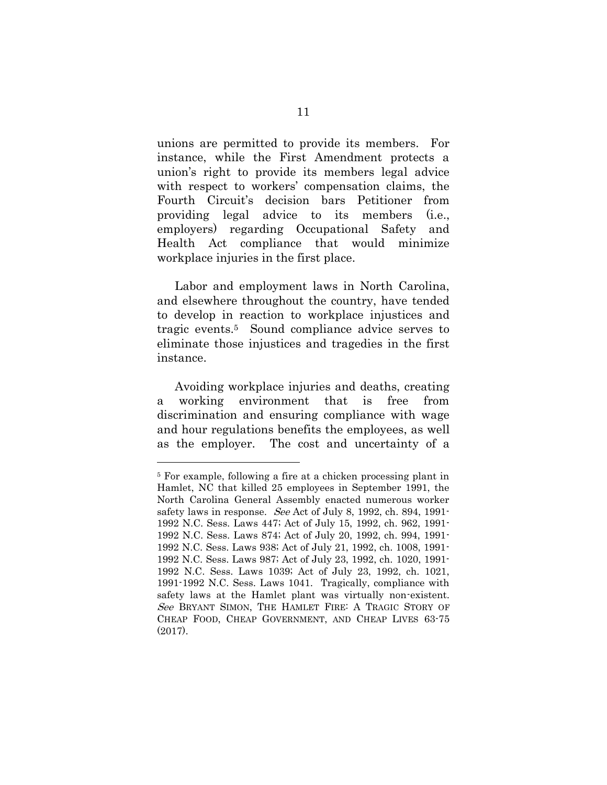unions are permitted to provide its members. For instance, while the First Amendment protects a union's right to provide its members legal advice with respect to workers' compensation claims, the Fourth Circuit's decision bars Petitioner from providing legal advice to its members (i.e., employers) regarding Occupational Safety and Health Act compliance that would minimize workplace injuries in the first place.

Labor and employment laws in North Carolina, and elsewhere throughout the country, have tended to develop in reaction to workplace injustices and tragic events.5 Sound compliance advice serves to eliminate those injustices and tragedies in the first instance.

Avoiding workplace injuries and deaths, creating a working environment that is free from discrimination and ensuring compliance with wage and hour regulations benefits the employees, as well as the employer. The cost and uncertainty of a

<sup>5</sup> For example, following a fire at a chicken processing plant in Hamlet, NC that killed 25 employees in September 1991, the North Carolina General Assembly enacted numerous worker safety laws in response. See Act of July 8, 1992, ch. 894, 1991-1992 N.C. Sess. Laws 447; Act of July 15, 1992, ch. 962, 1991- 1992 N.C. Sess. Laws 874; Act of July 20, 1992, ch. 994, 1991- 1992 N.C. Sess. Laws 938; Act of July 21, 1992, ch. 1008, 1991- 1992 N.C. Sess. Laws 987; Act of July 23, 1992, ch. 1020, 1991- 1992 N.C. Sess. Laws 1039; Act of July 23, 1992, ch. 1021, 1991-1992 N.C. Sess. Laws 1041. Tragically, compliance with safety laws at the Hamlet plant was virtually non-existent. See BRYANT SIMON, THE HAMLET FIRE: A TRAGIC STORY OF CHEAP FOOD, CHEAP GOVERNMENT, AND CHEAP LIVES 63-75 (2017).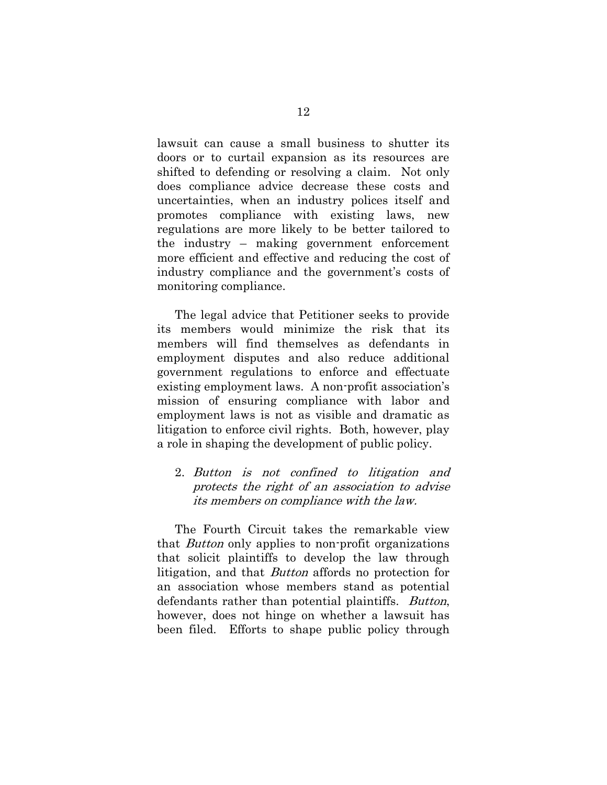lawsuit can cause a small business to shutter its doors or to curtail expansion as its resources are shifted to defending or resolving a claim. Not only does compliance advice decrease these costs and uncertainties, when an industry polices itself and promotes compliance with existing laws, new regulations are more likely to be better tailored to the industry – making government enforcement more efficient and effective and reducing the cost of industry compliance and the government's costs of monitoring compliance.

The legal advice that Petitioner seeks to provide its members would minimize the risk that its members will find themselves as defendants in employment disputes and also reduce additional government regulations to enforce and effectuate existing employment laws. A non-profit association's mission of ensuring compliance with labor and employment laws is not as visible and dramatic as litigation to enforce civil rights. Both, however, play a role in shaping the development of public policy.

2. Button is not confined to litigation and protects the right of an association to advise its members on compliance with the law.

The Fourth Circuit takes the remarkable view that Button only applies to non-profit organizations that solicit plaintiffs to develop the law through litigation, and that Button affords no protection for an association whose members stand as potential defendants rather than potential plaintiffs. *Button*, however, does not hinge on whether a lawsuit has been filed. Efforts to shape public policy through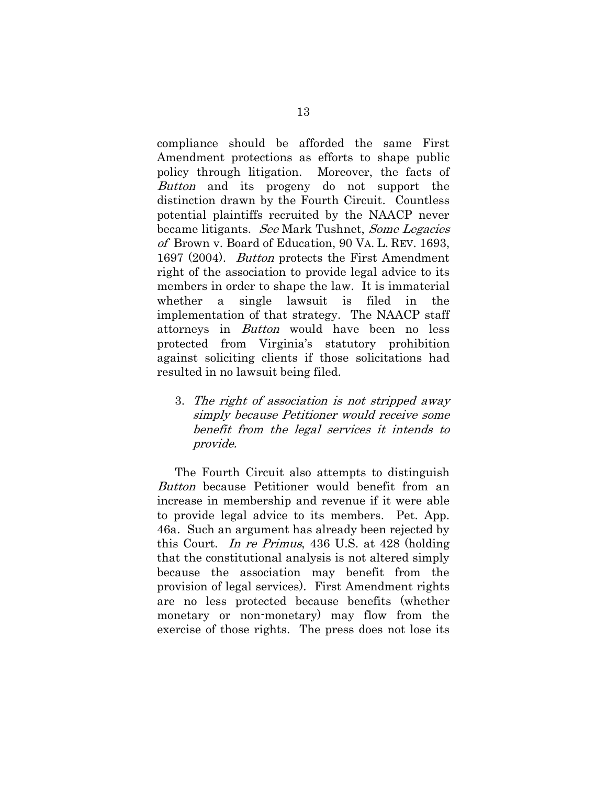compliance should be afforded the same First Amendment protections as efforts to shape public policy through litigation. Moreover, the facts of Button and its progeny do not support the distinction drawn by the Fourth Circuit. Countless potential plaintiffs recruited by the NAACP never became litigants. See Mark Tushnet, Some Legacies of Brown v. Board of Education, 90 VA. L. REV. 1693, 1697 (2004). Button protects the First Amendment right of the association to provide legal advice to its members in order to shape the law. It is immaterial whether a single lawsuit is filed in the implementation of that strategy. The NAACP staff attorneys in Button would have been no less protected from Virginia's statutory prohibition against soliciting clients if those solicitations had resulted in no lawsuit being filed.

3. The right of association is not stripped away simply because Petitioner would receive some benefit from the legal services it intends to provide.

The Fourth Circuit also attempts to distinguish Button because Petitioner would benefit from an increase in membership and revenue if it were able to provide legal advice to its members. Pet. App. 46a. Such an argument has already been rejected by this Court. In re Primus, 436 U.S. at 428 (holding that the constitutional analysis is not altered simply because the association may benefit from the provision of legal services). First Amendment rights are no less protected because benefits (whether monetary or non-monetary) may flow from the exercise of those rights. The press does not lose its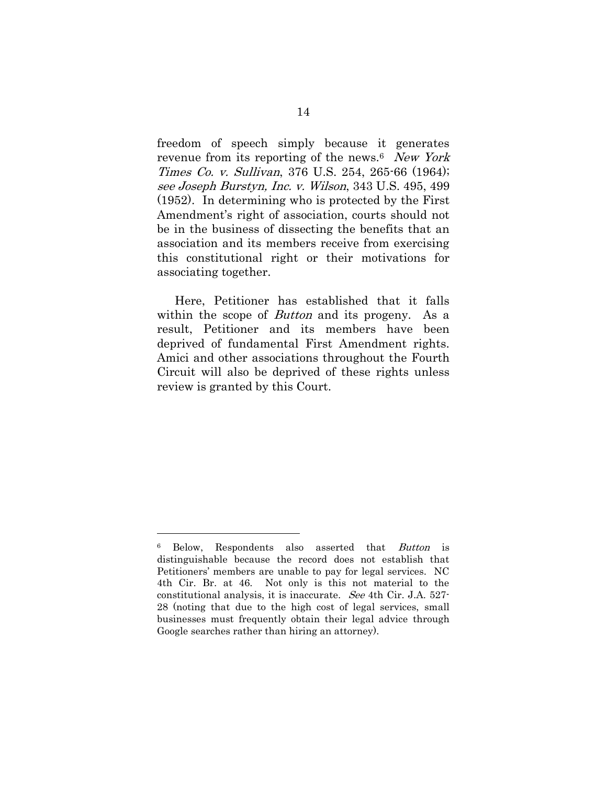freedom of speech simply because it generates revenue from its reporting of the news.<sup>6</sup> New York Times Co. v. Sullivan, 376 U.S. 254, 265-66 (1964); see Joseph Burstyn, Inc. v. Wilson, 343 U.S. 495, 499 (1952). In determining who is protected by the First Amendment's right of association, courts should not be in the business of dissecting the benefits that an association and its members receive from exercising this constitutional right or their motivations for associating together.

Here, Petitioner has established that it falls within the scope of *Button* and its progeny. As a result, Petitioner and its members have been deprived of fundamental First Amendment rights. Amici and other associations throughout the Fourth Circuit will also be deprived of these rights unless review is granted by this Court.

<sup>6</sup> Below, Respondents also asserted that Button is distinguishable because the record does not establish that Petitioners' members are unable to pay for legal services. NC 4th Cir. Br. at 46. Not only is this not material to the constitutional analysis, it is inaccurate. See 4th Cir. J.A. 527- 28 (noting that due to the high cost of legal services, small businesses must frequently obtain their legal advice through Google searches rather than hiring an attorney).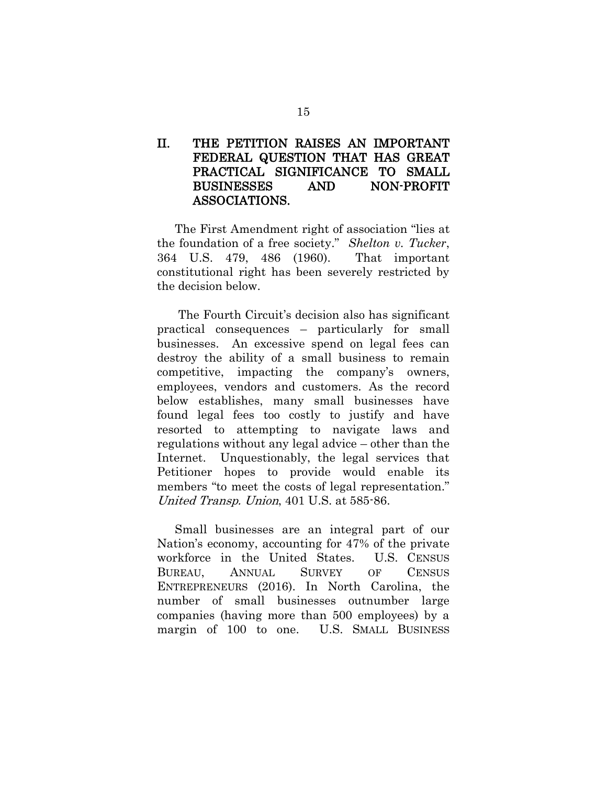### II. THE PETITION RAISES AN IMPORTANT FEDERAL QUESTION THAT HAS GREAT PRACTICAL SIGNIFICANCE TO SMALL BUSINESSES AND NON-PROFIT ASSOCIATIONS.

The First Amendment right of association "lies at the foundation of a free society." *Shelton v. Tucker*, 364 U.S. 479, 486 (1960). That important constitutional right has been severely restricted by the decision below.

The Fourth Circuit's decision also has significant practical consequences – particularly for small businesses. An excessive spend on legal fees can destroy the ability of a small business to remain competitive, impacting the company's owners, employees, vendors and customers. As the record below establishes, many small businesses have found legal fees too costly to justify and have resorted to attempting to navigate laws and regulations without any legal advice – other than the Internet. Unquestionably, the legal services that Petitioner hopes to provide would enable its members "to meet the costs of legal representation." United Transp. Union, 401 U.S. at 585-86.

Small businesses are an integral part of our Nation's economy, accounting for 47% of the private workforce in the United States. U.S. CENSUS BUREAU, ANNUAL SURVEY OF CENSUS ENTREPRENEURS (2016). In North Carolina, the number of small businesses outnumber large companies (having more than 500 employees) by a margin of 100 to one. U.S. SMALL BUSINESS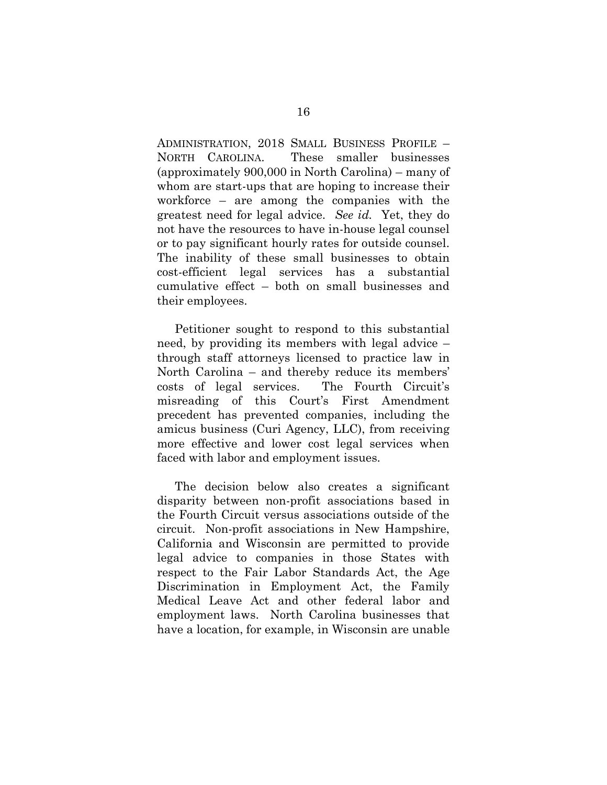ADMINISTRATION, 2018 SMALL BUSINESS PROFILE – NORTH CAROLINA. These smaller businesses (approximately 900,000 in North Carolina) – many of whom are start-ups that are hoping to increase their workforce – are among the companies with the greatest need for legal advice. *See id.* Yet, they do not have the resources to have in-house legal counsel or to pay significant hourly rates for outside counsel. The inability of these small businesses to obtain cost-efficient legal services has a substantial cumulative effect – both on small businesses and their employees.

Petitioner sought to respond to this substantial need, by providing its members with legal advice – through staff attorneys licensed to practice law in North Carolina – and thereby reduce its members' costs of legal services. The Fourth Circuit's misreading of this Court's First Amendment precedent has prevented companies, including the amicus business (Curi Agency, LLC), from receiving more effective and lower cost legal services when faced with labor and employment issues.

The decision below also creates a significant disparity between non-profit associations based in the Fourth Circuit versus associations outside of the circuit. Non-profit associations in New Hampshire, California and Wisconsin are permitted to provide legal advice to companies in those States with respect to the Fair Labor Standards Act, the Age Discrimination in Employment Act, the Family Medical Leave Act and other federal labor and employment laws. North Carolina businesses that have a location, for example, in Wisconsin are unable